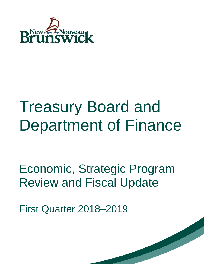

# Treasury Board and Department of Finance

Economic, Strategic Program Review and Fiscal Update

First Quarter 2018–2019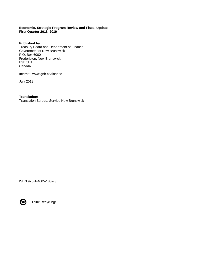#### **Economic, Strategic Program Review and Fiscal Update First Quarter 2018–2019**

**Published by:** Treasury Board and Department of Finance Government of New Brunswick P.O. Box 6000 Fredericton, New Brunswick E3B 5H1 Canada

Internet: www.gnb.ca/finance

July 2018

**Translation:** Translation Bureau, Service New Brunswick

ISBN 978-1-4605-1882-3



Think Recycling!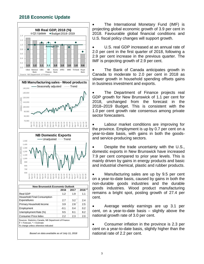# **2018 Economic Update**



• The International Monetary Fund (IMF) is projecting global economic growth of 3.9 per cent in 2018. Favourable global financial conditions and U.S. fiscal policy changes will support growth.

U.S. real GDP increased at an annual rate of 2.0 per cent in the first quarter of 2018, following a 2.9 per cent increase in the previous quarter. The IMF is projecting growth of 2.9 per cent.

The Bank of Canada anticipates growth in Canada to moderate to 2.0 per cent in 2018 as slower growth in household spending offsets gains in business investment and exports.

• The Department of Finance projects real GDP growth for New Brunswick of 1.1 per cent for 2018, unchanged from the forecast in the 2018–2019 Budget. This is consistent with the 1.0 per cent growth rate consensus among private sector forecasters.

Labour market conditions are improving for the province. Employment is up by 0.7 per cent on a year-to-date basis, with gains in both the goodsand service-producing sectors.

• Despite the trade uncertainty with the U.S., domestic exports in New Brunswick have increased 7.9 per cent compared to prior year levels. This is mainly driven by gains in energy products and basic and industrial chemical, plastic and rubber products.

Manufacturing sales are up by 9.5 per cent on a year-to-date basis, caused by gains in both the non-durable goods industries and the durable goods industries. Wood product manufacturing remains a bright spot, posting growth of 27.4 per cent.

• Average weekly earnings are up 3.1 per cent, on a year-to-date basis – slightly above the national growth rate of 3.0 per cent.

• Consumer inflation in the province is 2.3 per cent on a year-to-date basis, slightly higher than the national rate of 2.2 per cent.

*Based on data available as of July 11, 2018*

Employment 10.4 0.2 Unemployment Rate  $(\%)$  9.5 8.1 8.2 Consumer Price Index 2.2 2.3 2.0

Sources: Statistics Canada, NB Department of Finance

 $F =$  Forecast,  $* =$  Estimate % change unless otherwise indicated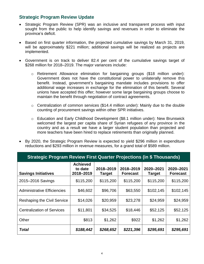## **Strategic Program Review Update**

- Strategic Program Review (SPR) was an inclusive and transparent process with input sought from the public to help identify savings and revenues in order to eliminate the province's deficit.
- Based on first quarter information, the projected cumulative savings by March 31, 2019, will be approximately \$221 million; additional savings will be realized as projects are implemented.
- Government is on track to deliver 82.4 per cent of the cumulative savings target of \$268 million for 2018–2019. The major variances include:
	- o Retirement Allowance elimination for bargaining groups (\$18 million under): Government does not have the constitutional power to unilaterally remove this benefit. Instead, government's bargaining mandate includes provisions to offer additional wage increases in exchange for the elimination of this benefit. Several unions have accepted this offer; however some large bargaining groups choose to maintain the benefit through negotiation of contract agreements.
	- $\circ$  Centralization of common services (\$14.4 million under): Mainly due to the double counting of procurement savings within other SPR initiatives.
	- o Education and Early Childhood Development (\$8.1 million under): New Brunswick welcomed the largest per capita share of Syrian refugees of any province in the country and as a result we have a larger student population than projected and more teachers have been hired to replace retirements than originally planned.
- By 2020, the Strategic Program Review is expected to yield \$296 million in expenditure reductions and \$293 million in revenue measures, for a grand total of \$589 million.

| <b>Strategic Program Review First Quarter Projections (in \$ Thousands)</b> |                                         |                            |                              |                     |                              |  |
|-----------------------------------------------------------------------------|-----------------------------------------|----------------------------|------------------------------|---------------------|------------------------------|--|
| <b>Savings Initiatives</b>                                                  | <b>Achieved</b><br>to date<br>2018-2019 | 2018-2019<br><b>Target</b> | 2018-2019<br><b>Forecast</b> | 2020-2021<br>Target | 2020-2021<br><b>Forecast</b> |  |
| 2015-2016 Savings                                                           | \$115,200                               | \$115,200                  | \$115,200                    | \$115,200           | \$115,200                    |  |
| Administrative Efficiencies                                                 | \$46,602                                | \$96,706                   | \$63,550                     | \$102,145           | \$102,145                    |  |
| <b>Reshaping the Civil Service</b>                                          | \$14,026                                | \$20,959                   | \$23,278                     | \$24,959            | \$24,959                     |  |
| <b>Centralization of Services</b>                                           | \$11,801                                | \$34,525                   | \$18,446                     | \$52,125            | \$52,125                     |  |
| Other                                                                       | \$813                                   | \$1,262                    | \$922                        | \$1,262             | \$1,262                      |  |
| Total                                                                       | \$188,442                               | \$268,652                  | \$221,396                    | \$295,691           | \$295,691                    |  |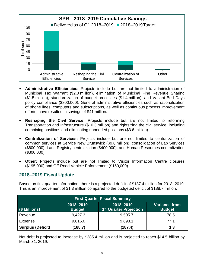

- **Administrative Efficiencies:** Projects include but are not limited to administration of Municipal Tax Warrant (\$2.0 million), elimination of Municipal Fine Revenue Sharing (\$1.5 million), standardization of budget processes (\$1.4 million), and Vacant Bed Days policy compliance (\$800,000). General administrative efficiencies such as rationalization of phone lines, computers and subscriptions, as well as continuous process improvement efforts, have resulted in savings of \$41 million.
- **Reshaping the Civil Service:** Projects include but are not limited to reforming Transportation and Infrastructure (\$10.3 million) and rightsizing the civil service, including combining positions and eliminating unneeded positions (\$3.6 million).
- **Centralization of Services:** Projects include but are not limited to centralization of common services at Service New Brunswick (\$9.8 million), consolidation of Lab Services (\$600,000), Land Registry centralization (\$400,000), and Human Resources centralization (\$300,000).
- **Other:** Projects include but are not limited to Visitor Information Centre closures (\$195,000) and Off-Road Vehicle Enforcement (\$150,000).

# **2018–2019 Fiscal Update**

Based on first quarter information, there is a projected deficit of \$187.4 million for 2018–2019. This is an improvement of \$1.3 million compared to the budgeted deficit of \$188.7 million.

| <b>First Quarter Fiscal Summary</b> |                            |                                                 |                                       |  |
|-------------------------------------|----------------------------|-------------------------------------------------|---------------------------------------|--|
| (\$ Millions)                       | 2018-2019<br><b>Budget</b> | 2018-2019<br>1 <sup>st</sup> Quarter Projection | <b>Variance from</b><br><b>Budget</b> |  |
| Revenue                             | 9,427.3                    | 9,505.7                                         | 78.5                                  |  |
| Expense                             | 9,616.0                    | 9,693.1                                         | 77.1                                  |  |
| <b>Surplus (Deficit)</b>            | (188.7)                    | (187.4)                                         | 1.3                                   |  |

Net debt is projected to increase by \$385.4 million and is projected to reach \$14.5 billion by March 31, 2019.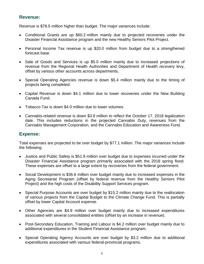## **Revenue:**

Revenue is \$78.5 million higher than budget. The major variances include:

- Conditional Grants are up \$60.2 million mainly due to projected recoveries under the Disaster Financial Assistance program and the new Healthy Seniors Pilot Project.
- Personal Income Tax revenue is up \$20.0 million from budget due to a strengthened forecast base.
- Sale of Goods and Services is up \$5.0 million mainly due to increased projections of revenue from the Regional Health Authorities and Department of Health recovery levy, offset by various other accounts across departments.
- Special Operating Agencies revenue is down \$5.4 million mainly due to the timing of projects being completed.
- Capital Revenue is down \$4.1 million due to lower recoveries under the New Building Canada Fund.
- Tobacco Tax is down \$4.0 million due to lower volumes.
- Cannabis-related revenue is down \$3.9 million to reflect the October 17, 2018 legalization date. This includes reductions in the projected Cannabis Duty, revenues from the Cannabis Management Corporation, and the Cannabis Education and Awareness Fund.

## **Expense:**

Total expenses are projected to be over budget by \$77.1 million. The major variances include the following:

- Justice and Public Safety is \$51.9 million over budget due to expenses incurred under the Disaster Financial Assistance program primarily associated with the 2018 spring flood. These expenses are offset to a large extent by recoveries from the federal government.
- Social Development is \$36.6 million over budget mainly due to increased expenses in the Aging Secretariat Program (offset by federal revenue from the Healthy Seniors Pilot Project) and the high costs of the Disability Support Services program.
- Special Purpose Accounts are over budget by \$15.2 million mainly due to the reallocation of various projects from the Capital Budget to the Climate Change Fund. This is partially offset by lower Capital Account expense.
- Other Agencies are \$4.9 million over budget mainly due to increased expenditures associated with several consolidated entities (offset by an increase in revenue).
- Post-Secondary Education, Training and Labour is \$4.2 million over budget mainly due to additional expenditures in the Student Financial Assistance program.
- Special Operating Agency Accounts are over budget by \$3.2 million due to additional expenditures associated with various federal-provincial programs.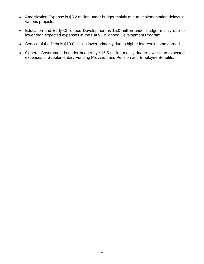- Amortization Expense is \$3.2 million under budget mainly due to implementation delays in various projects.
- Education and Early Childhood Development is \$5.0 million under budget mainly due to lower than expected expenses in the Early Childhood Development Program.
- Service of the Debt is \$10.0 million lower primarily due to higher interest income earned.
- General Government is under budget by \$15.5 million mainly due to lower than expected expenses in Supplementary Funding Provision and Pension and Employee Benefits.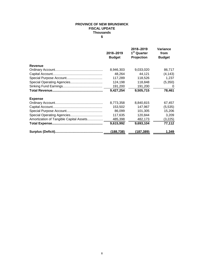#### **PROVINCE OF NEW BRUNSWICK FISCAL UPDATE Thousands \$**

|                                         | 2018-2019<br><b>Budget</b> | 2018-2019<br>1 <sup>st</sup> Quarter<br>Projection | Variance<br>from<br><b>Budget</b> |
|-----------------------------------------|----------------------------|----------------------------------------------------|-----------------------------------|
| <b>Revenue</b>                          |                            |                                                    |                                   |
|                                         | 8,946,303                  | 9,033,020                                          | 86,717                            |
|                                         | 48,264                     | 44,121                                             | (4, 143)                          |
|                                         | 117,289                    | 118,526                                            | 1,237                             |
|                                         | 124,198                    | 118,848                                            | (5,350)                           |
|                                         | 191,200                    | 191,200                                            | 0                                 |
|                                         | 9,427,254                  | 9,505,715                                          | 78,461                            |
| <b>Expense</b>                          |                            |                                                    |                                   |
|                                         | 8,773,358                  | 8,840,815                                          | 67,457                            |
|                                         | 153,502                    | 147,967                                            | (5,535)                           |
|                                         | 86,099                     | 101,305                                            | 15,206                            |
|                                         | 117,635                    | 120,844                                            | 3,209                             |
| Amortization of Tangible Capital Assets | 485,398                    | 482,173                                            | (3,225)                           |
|                                         | 9,615,992                  | 9,693,104                                          | 77,112                            |
|                                         | (188, 738)                 | (187,389)                                          | 1,349                             |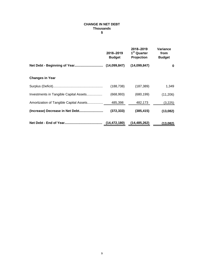#### **Thousands \$ CHANGE IN NET DEBT**

|                                         | 2018-2019<br><b>Budget</b> | 2018-2019<br>1 <sup>st</sup> Quarter<br>Projection | Variance<br>from<br><b>Budget</b> |
|-----------------------------------------|----------------------------|----------------------------------------------------|-----------------------------------|
|                                         | (14,099,847)               | (14,099,847)                                       | 0                                 |
| <b>Changes in Year</b>                  |                            |                                                    |                                   |
|                                         | (188, 738)                 | (187, 389)                                         | 1,349                             |
| Investments in Tangible Capital Assets  | (668, 993)                 | (680, 199)                                         | (11, 206)                         |
| Amortization of Tangible Capital Assets | 485,398                    | 482,173                                            | (3,225)                           |
| (Increase) Decrease in Net Debt         | (372, 333)                 | (385, 415)                                         | (13,082)                          |
|                                         | (14, 472, 180)             | (14,485,262)                                       | (13,082)                          |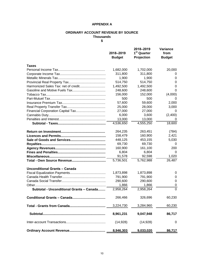#### **APPENDIX A**

#### **ORDINARY ACCOUNT REVENUE BY SOURCE Thousands**

**\$**

|                                          | 2018-2019<br><b>Budget</b> | 2018-2019<br>1 <sup>st</sup> Quarter<br>Projection | Variance<br>from<br><b>Budget</b> |
|------------------------------------------|----------------------------|----------------------------------------------------|-----------------------------------|
| <b>Taxes</b>                             |                            |                                                    |                                   |
|                                          | 1,682,000                  | 1,702,000                                          | 20,000                            |
|                                          | 311,800                    | 311,800                                            | 0                                 |
|                                          | 1,900                      | 1,900                                              | 0                                 |
|                                          | 514,750                    | 514,750                                            | 0                                 |
|                                          | 1,492,500                  | 1,492,500                                          | 0                                 |
|                                          | 248,600                    | 248,600                                            | 0                                 |
|                                          | 156,000                    | 152,000                                            | (4,000)                           |
|                                          | 500                        | 500                                                | $\mathbf{0}$                      |
|                                          | 57,600                     | 59,600                                             | 2,000                             |
|                                          | 25,000                     | 28,000                                             | 3,000                             |
|                                          | 27,000                     | 27,000                                             | 0                                 |
|                                          | 6,000                      | 3,600                                              | (2,400)                           |
|                                          | 13,000                     | 13,000                                             | 0                                 |
|                                          | 4,536,650                  | 4,555,250                                          | 18,600                            |
|                                          | 264,235                    | 263,451                                            | (784)                             |
|                                          | 158,479                    | 160,900                                            | 2,421                             |
|                                          | 448,125                    | 453,155                                            | 5,030                             |
|                                          | 69,730                     | 69,730                                             | 0                                 |
|                                          | 160,900                    | 161,100                                            | 200                               |
|                                          | 6,804                      | 6,804                                              | 0                                 |
|                                          | 91,578                     | 92,598                                             | 1,020                             |
|                                          | 5,736,501                  | 5,762,988                                          | 26,487                            |
| Unconditional Grants - Canada            |                            |                                                    |                                   |
|                                          | 1,873,898                  | 1,873,898                                          | 0                                 |
|                                          | 791,900                    | 791,900                                            | 0                                 |
|                                          | 290,600                    | 290,600                                            | 0                                 |
|                                          | 1,866                      | 1,866                                              | 0                                 |
| Subtotal - Unconditional Grants - Canada | 2,958,264                  | 2,958,264                                          | $\overline{0}$                    |
|                                          | 266,466                    | 326,696                                            | 60,230                            |
|                                          | 3,224,730                  | 3,284,960                                          | 60,230                            |
|                                          | 8,961,231                  | 9,047,948                                          | 86,717                            |
|                                          | (14, 928)                  | (14, 928)                                          | 0                                 |
|                                          | 8,946,303                  | 9,033,020                                          | 86,717                            |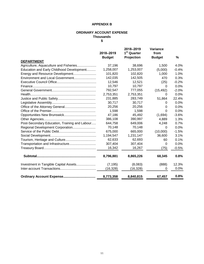#### **APPENDIX B**

#### **ORDINARY ACCOUNT EXPENSE Thousands**

**\$**

|                                               | 2018-2019<br><b>Budget</b> | 2018-2019<br>1 <sup>st</sup> Quarter<br>Projection | Variance<br>from<br><b>Budget</b> | %       |
|-----------------------------------------------|----------------------------|----------------------------------------------------|-----------------------------------|---------|
| <b>DEPARTMENT</b>                             |                            |                                                    |                                   |         |
| Agriculture, Aquaculture and Fisheries        | 37,196                     | 38,696                                             | 1,500                             | 4.0%    |
| Education and Early Childhood Development     | 1,258,007                  | 1,253,007                                          | (5,000)                           | $-0.4%$ |
| Energy and Resource Development               | 101,820                    | 102,820                                            | 1,000                             | 1.0%    |
| Environment and Local Government              | 142,035                    | 142,505                                            | 470                               | 0.3%    |
|                                               | 12,546                     | 12,521                                             | (25)                              | $-0.2%$ |
|                                               | 10,797                     | 10,797                                             | 0                                 | 0.0%    |
|                                               | 792,547                    | 777,055                                            | (15, 492)                         | $-2.0%$ |
|                                               | 2,753,351                  | 2,753,351                                          | 0                                 | 0.0%    |
|                                               | 231,885                    | 283,749                                            | 51,864                            | 22.4%   |
|                                               | 30,717                     | 30,717                                             | 0                                 | 0.0%    |
|                                               | 20,256                     | 20,256                                             | 0                                 | 0.0%    |
|                                               | 1,598                      | 1,598                                              | $\Omega$                          | 0.0%    |
|                                               | 47,186                     | 45,492                                             | (1,694)                           | $-3.6%$ |
|                                               | 386,108                    | 390,997                                            | 4,889                             | 1.3%    |
| Post-Secondary Education, Training and Labour | 644,758                    | 649,006                                            | 4,248                             | 0.7%    |
| Regional Development Corporation              | 70,148                     | 70,148                                             | $\Omega$                          | 0.0%    |
|                                               | 675,000                    | 665,000                                            | (10,000)                          | $-1.5%$ |
|                                               | 1,194,547                  | 1,231,147                                          | 36,600                            | 3.1%    |
|                                               | 62,633                     | 62,693                                             | 60                                | 0.1%    |
|                                               | 307,404                    | 307,404                                            | 0                                 | 0.0%    |
|                                               | 16,342                     | 16,267                                             | (75)                              | $-0.5%$ |
|                                               | 8,796,881                  | 8,865,226                                          | 68,345                            | 0.8%    |
| Investment in Tangible Capital Assets         | (7, 195)                   | (8,083)                                            | (888)                             | 12.3%   |
|                                               | (16, 328)                  | (16,328)                                           | 0                                 | 0.0%    |
|                                               | 8,773,358                  | 8,840,815                                          | 67,457                            | 0.8%    |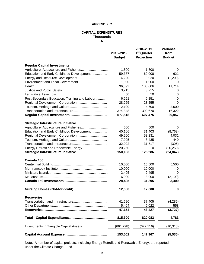#### **APPENDIX C**

#### **CAPITAL EXPENDITURES Thousands \$**

|                                               | 2018-2019<br><b>Budget</b> | 2018-2019<br>1 <sup>st</sup> Quarter<br>Projection | <b>Variance</b><br>from<br><b>Budget</b> |
|-----------------------------------------------|----------------------------|----------------------------------------------------|------------------------------------------|
| <b>Regular Capital Investments</b>            |                            |                                                    |                                          |
|                                               | 1,800                      | 1,800                                              | 0                                        |
| Education and Early Childhood Development     | 59,387                     | 60,008                                             | 621                                      |
|                                               | 4,220                      | 3,020                                              | (1,200)                                  |
|                                               | 1,000                      | 1,000                                              | 0                                        |
|                                               | 96,892                     | 108,606                                            | 11,714                                   |
|                                               | 3,215                      | 3,215                                              | 0                                        |
|                                               | 50                         | 50                                                 | 0                                        |
| Post-Secondary Education, Training and Labour | 6,251                      | 6,251                                              | 0                                        |
|                                               | 28,255                     | 28,255                                             | 0                                        |
|                                               | 2,100                      | 4,600                                              | 2,500                                    |
|                                               | 374,348                    | 390,670                                            | 16,322                                   |
|                                               | 577,518                    | 607,475                                            | 29,957                                   |
| <b>Strategic Infrastructure Initiative</b>    |                            |                                                    |                                          |
|                                               | 500                        | 500                                                | 0                                        |
| Education and Early Childhood Development     | 40,166                     | 31,403                                             | (8,763)                                  |
|                                               | 49,200                     | 53,231                                             | 4,031                                    |
|                                               | 7,995                      | 8,435                                              | 440                                      |
|                                               | 32,022                     | 31,717                                             | (305)                                    |
| Energy Retrofit and Renewable Energy          | 20,250                     | 0                                                  | (20, 250)                                |
|                                               | 150,133                    | 125,286                                            | (24, 847)                                |
| Canada 150                                    |                            |                                                    |                                          |
|                                               | 10,000                     | 15,500                                             | 5,500                                    |
|                                               | 10,000                     | 10,000                                             | 0                                        |
|                                               | 2,495                      | 2,495                                              | 0                                        |
|                                               | 6,000                      | 3,900                                              | (2,100)                                  |
|                                               | 28,495                     | 31,895                                             | 3,400                                    |
|                                               | 12,000                     | 12,000                                             | 0                                        |
| <b>Recoveries</b>                             |                            |                                                    |                                          |
|                                               | 41,690                     | 37,405                                             | (4,285)                                  |
|                                               | 5,464                      | 6,022                                              | 558                                      |
|                                               | 47,154                     | 43,427                                             | (3, 727)                                 |
|                                               | 815,300                    | 820,083                                            | 4,783                                    |
| Investments in Tangible Capital Assets        | (661, 798)                 | (672,116)                                          | (10,318)                                 |
|                                               | 153,502                    | 147,967                                            | (5, 535)                                 |

under the Climate Change Fund. Note: A number of capital projects, including Energy Retrofit and Renewable Energy, are reported